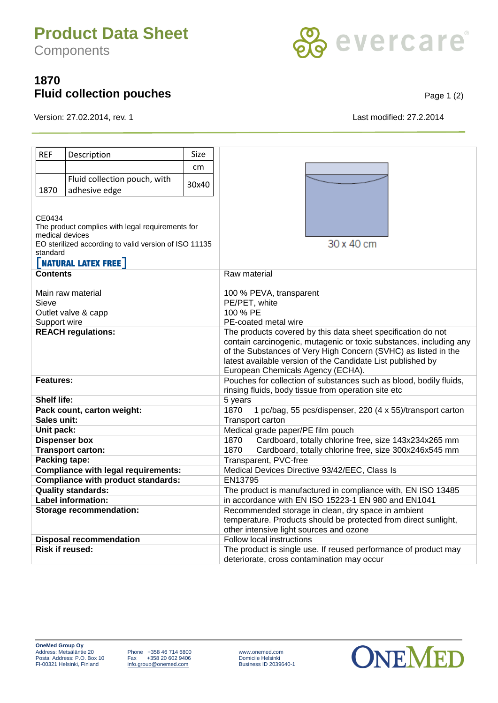## **Product Data Sheet**

**Components** 

# evercare®

#### **1870 Fluid collection pouches Page 1 (2)**

Version: 27.02.2014, rev. 1 Last modified: 27.2.2014

| <b>REF</b>                                                                                                                                                                      | Description                    | Size  |                                                                              |  |
|---------------------------------------------------------------------------------------------------------------------------------------------------------------------------------|--------------------------------|-------|------------------------------------------------------------------------------|--|
|                                                                                                                                                                                 |                                | cm    |                                                                              |  |
|                                                                                                                                                                                 |                                |       |                                                                              |  |
|                                                                                                                                                                                 | Fluid collection pouch, with   | 30x40 |                                                                              |  |
| 1870                                                                                                                                                                            | adhesive edge                  |       |                                                                              |  |
| CE0434<br>The product complies with legal requirements for<br>medical devices<br>EO sterilized according to valid version of ISO 11135<br>standard<br><b>NATURAL LATEX FREE</b> |                                |       | 30 x 40 cm                                                                   |  |
| <b>Contents</b>                                                                                                                                                                 |                                |       | Raw material                                                                 |  |
|                                                                                                                                                                                 |                                |       |                                                                              |  |
| Main raw material<br>Sieve                                                                                                                                                      |                                |       | 100 % PEVA, transparent<br>PE/PET, white                                     |  |
| Outlet valve & capp                                                                                                                                                             |                                |       | 100 % PE                                                                     |  |
| Support wire                                                                                                                                                                    |                                |       | PE-coated metal wire                                                         |  |
| <b>REACH regulations:</b>                                                                                                                                                       |                                |       | The products covered by this data sheet specification do not                 |  |
|                                                                                                                                                                                 |                                |       | contain carcinogenic, mutagenic or toxic substances, including any           |  |
|                                                                                                                                                                                 |                                |       | of the Substances of Very High Concern (SVHC) as listed in the               |  |
|                                                                                                                                                                                 |                                |       | latest available version of the Candidate List published by                  |  |
|                                                                                                                                                                                 |                                |       | European Chemicals Agency (ECHA).                                            |  |
| <b>Features:</b>                                                                                                                                                                |                                |       | Pouches for collection of substances such as blood, bodily fluids,           |  |
|                                                                                                                                                                                 |                                |       | rinsing fluids, body tissue from operation site etc                          |  |
| <b>Shelf life:</b><br>Pack count, carton weight:                                                                                                                                |                                |       | 5 years<br>1870<br>1 pc/bag, 55 pcs/dispenser, 220 (4 x 55)/transport carton |  |
| Sales unit:                                                                                                                                                                     |                                |       | Transport carton                                                             |  |
| Unit pack:                                                                                                                                                                      |                                |       | Medical grade paper/PE film pouch                                            |  |
| <b>Dispenser box</b>                                                                                                                                                            |                                |       | 1870<br>Cardboard, totally chlorine free, size 143x234x265 mm                |  |
| <b>Transport carton:</b>                                                                                                                                                        |                                |       | 1870<br>Cardboard, totally chlorine free, size 300x246x545 mm                |  |
| Packing tape:                                                                                                                                                                   |                                |       | Transparent, PVC-free                                                        |  |
| <b>Compliance with legal requirements:</b>                                                                                                                                      |                                |       | Medical Devices Directive 93/42/EEC, Class Is                                |  |
| <b>Compliance with product standards:</b>                                                                                                                                       |                                |       | EN13795                                                                      |  |
| <b>Quality standards:</b>                                                                                                                                                       |                                |       | The product is manufactured in compliance with, EN ISO 13485                 |  |
| <b>Label information:</b>                                                                                                                                                       |                                |       | in accordance with EN ISO 15223-1 EN 980 and EN1041                          |  |
| <b>Storage recommendation:</b>                                                                                                                                                  |                                |       | Recommended storage in clean, dry space in ambient                           |  |
|                                                                                                                                                                                 |                                |       | temperature. Products should be protected from direct sunlight,              |  |
|                                                                                                                                                                                 |                                |       | other intensive light sources and ozone                                      |  |
|                                                                                                                                                                                 | <b>Disposal recommendation</b> |       | Follow local instructions                                                    |  |
| <b>Risk if reused:</b>                                                                                                                                                          |                                |       | The product is single use. If reused performance of product may              |  |
|                                                                                                                                                                                 |                                |       | deteriorate, cross contamination may occur                                   |  |

Phone +358 46 714 6800 www.onemed.com<br>
Fax +358 20 602 9406 Domicile Helsinki<br>
info.group@onemed.com Business ID 2039640-1 Postal Address: P.O. Box 10 Fax +358 20 602 9406 Domicile Helsinki FI-00321 Helsinki, Finland [info.group@onemed.com](mailto:info@onemed.com) Business ID 2039640-1